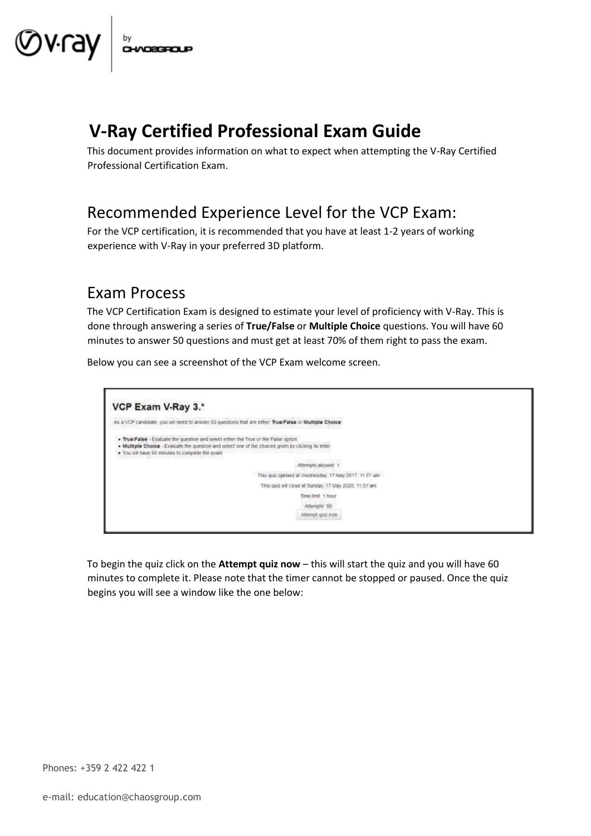

# **V-Ray Certified Professional Exam Guide**

This document provides information on what to expect when attempting the V-Ray Certified Professional Certification Exam.

## Recommended Experience Level for the VCP Exam:

For the VCP certification, it is recommended that you have at least 1-2 years of working experience with V-Ray in your preferred 3D platform.

#### Exam Process

The VCP Certification Exam is designed to estimate your level of proficiency with V-Ray. This is done through answering a series of **True/False** or **Multiple Choice** questions. You will have 60 minutes to answer 50 questions and must get at least 70% of them right to pass the exam.

Below you can see a screenshot of the VCP Exam welcome screen.



To begin the quiz click on the **Attempt quiz now** – this will start the quiz and you will have 60 minutes to complete it. Please note that the timer cannot be stopped or paused. Once the quiz begins you will see a window like the one below: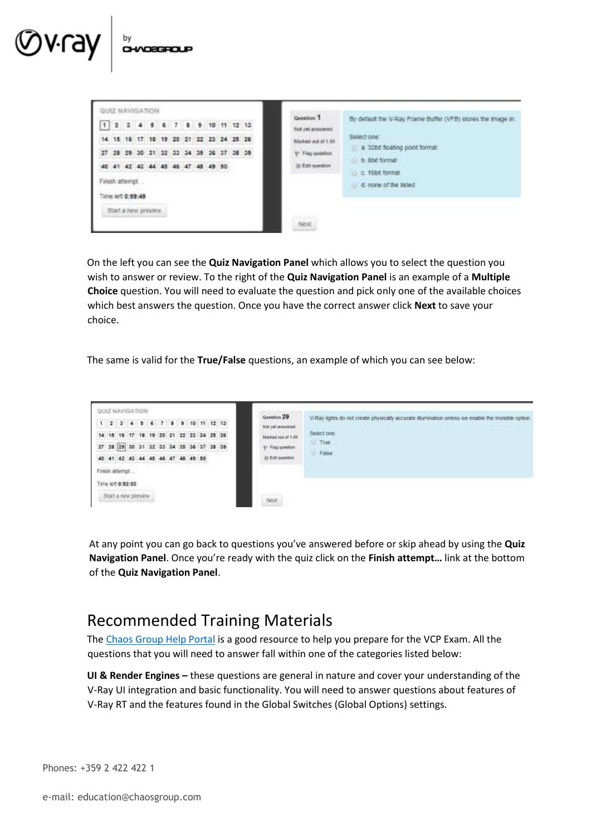| 1 2 3 4 5 6 7 8 9 10 11 12 13 |  |                     |  |                                        |  |     |       |  |
|-------------------------------|--|---------------------|--|----------------------------------------|--|-----|-------|--|
|                               |  |                     |  | 14 15 16 17 18 19 20 21 22 23 24 25 26 |  |     |       |  |
|                               |  |                     |  | 27 28 29 30 31 32 33 34 35 36          |  | -37 | 38 39 |  |
|                               |  |                     |  | 40 41 42 43 44 45 46 47 48 49 50       |  |     |       |  |
|                               |  | Finsh attempt.      |  |                                        |  |     |       |  |
|                               |  | ime let 0:59:48     |  |                                        |  |     |       |  |
|                               |  | Start a new preview |  |                                        |  |     |       |  |

CHVOSGROUP

On the left you can see the **Quiz Navigation Panel** which allows you to select the question you wish to answer or review. To the right of the **Quiz Navigation Panel** is an example of a **Multiple Choice** question. You will need to evaluate the question and pick only one of the available choices which best answers the question. Once you have the correct answer click **Next** to save your choice.

The same is valid for the **True/False** questions, an example of which you can see below:



At any point you can go back to questions you've answered before or skip ahead by using the **Quiz Navigation Panel**. Once you're ready with the quiz click on the **Finish attempt…** link at the bottom of the **Quiz Navigation Panel**.

### Recommended Training Materials

The [Chaos Group Help Portal](https://confluence.chaosgroup.com/dashboard.action) [is](https://confluence.chaosgroup.com/dashboard.action) a good resource to help you prepare for the VCP Exam. All the questions that you will need to answer fall within one of the categories listed below:

**UI & Render Engines –** these questions are general in nature and cover your understanding of the V-Ray UI integration and basic functionality. You will need to answer questions about features of V-Ray RT and the features found in the Global Switches (Global Options) settings.

Phones: +359 2 422 422 1